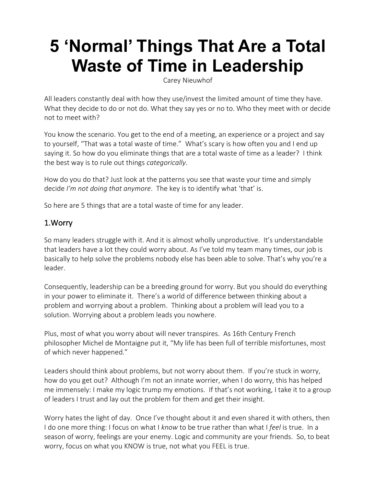# **5 'Normal' Things That Are a Total Waste of Time in Leadership**

[Carey Nieuwhof](https://careynieuwhof.com/5-things-total-waste-of-time-in-leadership/?he=davekraft763%40gmail.com&el=email&utm_source=ActiveCampaign&utm_medium=email&utm_content=5+things+that+are+a+total+waste+of+time&utm_campaign=3%2F19+-+5+Things+That+Are+a+Total+Waste+of+Time)

All leaders constantly deal with how they use/invest the limited amount of time they have. What they decide to do or not do. What they say yes or no to. Who they meet with or decide not to meet with?

You know the scenario. You get to the end of a meeting, an experience or a project and say to yourself, "That was a total waste of time." What's scary is how often you and I end up saying it. So how do you eliminate things that are a total waste of time as a leader? I think the best way is to rule out things *categorically*.

How do you do that? Just look at the patterns you see that waste your time and simply decide *I'm not doing that anymore*. The key is to identify what 'that' is.

So here are 5 things that are a total waste of time for any leader.

# 1.Worry

So many leaders struggle with it. And it is almost wholly unproductive. It's understandable that leaders have a lot they could worry about. As I've told my team many times, our job is basically to help solve the problems nobody else has been able to solve. That's why you're a leader.

Consequently, leadership can be a breeding ground for worry. But you should do everything in your power to eliminate it. There's a world of difference between thinking about a problem and worrying about a problem. Thinking about a problem will lead you to a solution. Worrying about a problem leads you nowhere.

Plus, most of what you worry about will never transpires. As 16th Century French philosopher Michel de Montaigne put it, "My life has been full of terrible misfortunes, most of which never happened."

Leaders should think about problems, but not worry about them. If you're stuck in worry, how do you get out? Although I'm not an innate worrier, when I do worry, this has helped me immensely: I make my logic trump my emotions. If that's not working, I take it to a group of leaders I trust and lay out the problem for them and get their insight.

Worry hates the light of day. Once I've thought about it and even shared it with others, then I do one more thing: I focus on what I *know* to be true rather than what I *feel* is true. In a season of worry, feelings are your enemy. Logic and community are your friends. So, to beat worry, focus on what you KNOW is true, not what you FEEL is true.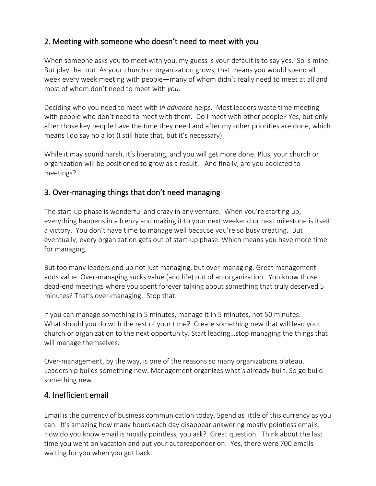# 2. Meeting with someone who doesn't need to meet with you

When someone asks you to meet with you, my guess is your default is to say yes. So is mine. But play that out. As your church or organization grows, that means you would spend all week every week meeting with people—many of whom didn't really need to meet at all and most of whom don't need to meet with *you*.

Deciding who you need to meet with i*n advance* helps. Most leaders waste time meeting with people who don't need to meet with them. Do I meet with other people? Yes, but only after those key people have the time they need and after my other priorities are done, which means I do say no a lot (I still hate that, but it's necessary).

While it may sound harsh, it's liberating, and you will get more done. Plus, your church or organization will be positioned to grow as a result.. And finally, are you addicted to meetings?

# 3. Over-managing things that don't need managing

The start-up phase is wonderful and crazy in any venture. When you're starting up, everything happens in a frenzy and making it to your next weekend or next milestone is itself a victory. You don't have time to manage well because you're so busy creating. But eventually, every organization gets out of start-up phase. Which means you have more time for managing.

But too many leaders end up not just managing, but over-managing. Great management adds value. Over-managing sucks value (and life) out of an organization. You know those dead-end meetings where you spent forever talking about something that truly deserved 5 minutes? That's over-managing. Stop that.

If you can manage something in 5 minutes, manage it in 5 minutes, not 50 minutes. What should you do with the rest of your time? Create something new that will lead your church or organization to the next opportunity. Start leading…stop managing the things that will manage themselves.

Over-management, by the way, is one of the reasons so many organizations plateau. Leadership builds something new. Management organizes what's already built. So go build something new.

### 4. Inefficient email

Email is the currency of business communication today. Spend as little of this currency as you can. It's amazing how many hours each day disappear answering mostly pointless emails. How do you know email is mostly pointless, you ask? Great question. Think about the last time you went on vacation and put your autoresponder on. Yes, there were 700 emails waiting for you when you got back.